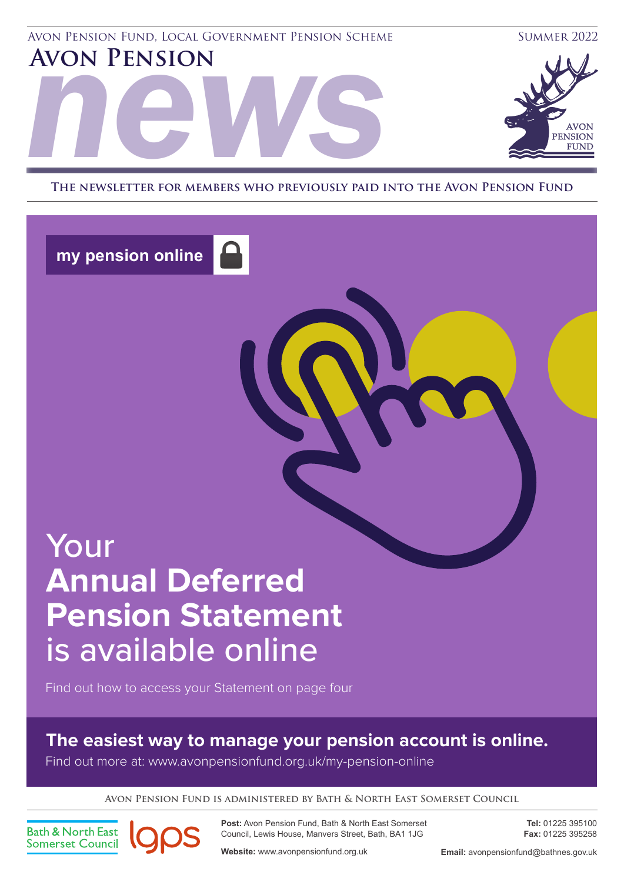Avon Pension Fund, Local Government Pension Scheme Summer 2022



**AVON PENSION**<br> **AVON PENSION**<br> **EXAMPLE SERVICE AND AVON PENSION The newsletter for members who previously paid into the Avon Pension Fund**

**my pension online**

**Avon Pension**



# Your **Annual Deferred Pension Statement**  is available online

Find out how to access your Statement on page four

# **The easiest way to manage your pension account is online.**

Find out more at: www.avonpensionfund.org.uk/my-pension-online

**Avon Pension Fund is administered by Bath & North East Somerset Council**

**Bath & North East Somerset Council** 



**Post:** Avon Pension Fund, Bath & North East Somerset Council, Lewis House, Manvers Street, Bath, BA1 1JG

**Tel:** 01225 395100 **Fax:** 01225 395258

**Website:** www.avonpensionfund.org.uk

**Email:** avonpensionfund@bathnes.gov.uk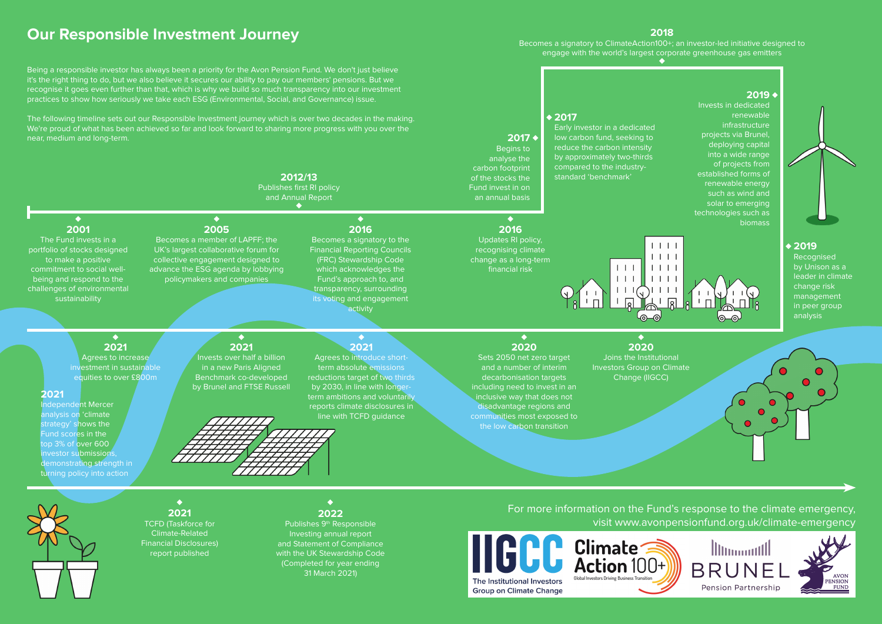# **Our Responsible Investment Journey**

Being a responsible investor has always been a priority for the Avon Pension Fund. We don't just believe it's the right thing to do, but we also believe it secures our ability to pay our members' pensions. But we recognise it goes even further than that, which is why we build so much transparency into our investment practices to show how seriously we take each ESG (Environmental, Social, and Governance) issue.

The following timeline sets out our Responsible Investment journey which is over two decades in the making. We're proud of what has been achieved so far and look forward to sharing more progress with you over the near, medium and long-term.

**2001**

 $\bullet$ 

to make a positive

sustainability

**2017** Begins to analyse the

## **2018**

# Becomes a signatory to ClimateAction100+; an investor-led initiative designed to

engage with the world's largest corporate greenhouse gas emitters

### $\bullet$ **2022**

**2017**

Publishes 9<sup>th</sup> Responsible Investing annual report and Statement of Compliance with the UK Stewardship Code (Completed for year ending 31 March 2021)



### $\bullet$ **2021** TCFD (Taskforce for

Early investor in a dedicated low carbon fund, seeking to reduce the carbon intensity by approximately two-thirds

### **2019**

Invests in dedicated renewable infrastructure projects via Brunel, deploying capital into a wide range of projects from established forms of renewable energy such as wind and solar to emerging technologies such as biomass





For more information on the Fund's response to the climate emergency, visit www.avonpensionfund.org.uk/climate-emergency



**2019 Recognised** by Unison as a leader in climate change risk management in peer group analysis



compared to the industrycarbon footprint **2012/13** of the stocks the standard 'benchmark' Publishes first RI policy Fund invest in on and Annual Report an annual basis  $\bullet$  $\bullet$  $\bullet$  $\bullet$ **2005 2016 2016** The Fund invests in a Becomes a member of LAPFF; the Becomes a signatory to the Updates RI policy,  $1111$ portfolio of stocks designed UK's largest collaborative forum for Financial Reporting Councils recognising climate  $1111$ collective engagement designed to (FRC) Stewardship Code change as a long-term  $111$ advance the ESG agenda by lobbying financial risk commitment to social wellwhich acknowledges the policymakers and companies  $111$ being and respond to the Fund's approach to, and  $1111$ challenges of environmental transparency, surrounding its voting and engagement activity  $\bullet$  $\bullet$  $\bullet$  $\bullet$ **2021 2021 2021 2020 2020** Joins the Institutional Agrees to increase Invests over half a billion Agrees to introduce short-Sets 2050 net zero target investment in sustainable in a new Paris Aligned term absolute emissions Investors Group on Climate and a number of interim equities to over £800m Benchmark co-developed reductions target of two thirds decarbonisation targets Change (IIGCC) by Brunel and FTSE Russell by 2030, in line with longerincluding need to invest in an term ambitions and voluntarily inclusive way that does not reports climate disclosures in disadvantage regions and line with TCFD guidance communities most exposed to the low carbon transition demonstrating strength in turning policy into action



**2021**

Independent Mercer analysis on 'climate strategy' shows the Fund scores in the top 3% of over 600 investor submissions,

> Climate-Related Financial Disclosures) report published